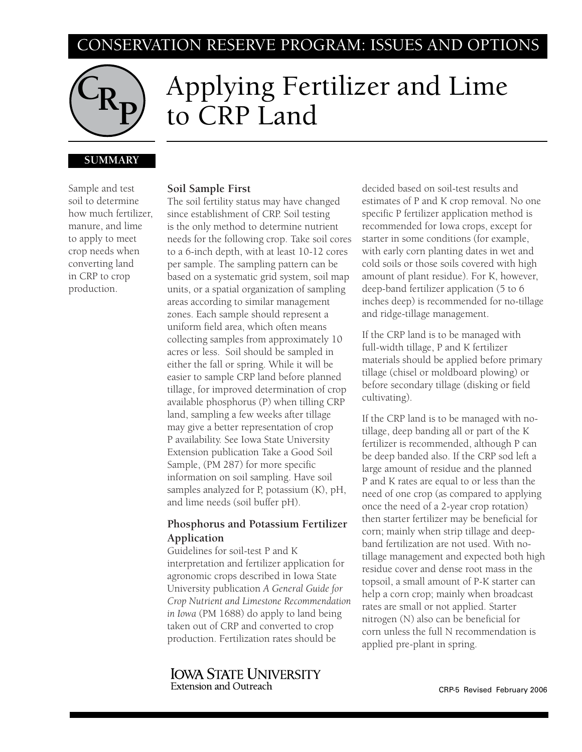# CONSERVATION RESERVE PROGRAM: ISSUES AND OPTIONS



# Applying Fertilizer and Lime to CRP Land

## **SUMMARY**

Sample and test soil to determine how much fertilizer, manure, and lime to apply to meet crop needs when converting land in CRP to crop production.

### **Soil Sample First**

The soil fertility status may have changed since establishment of CRP. Soil testing is the only method to determine nutrient needs for the following crop. Take soil cores to a 6-inch depth, with at least 10-12 cores per sample. The sampling pattern can be based on a systematic grid system, soil map units, or a spatial organization of sampling areas according to similar management zones. Each sample should represent a uniform field area, which often means collecting samples from approximately 10 acres or less. Soil should be sampled in either the fall or spring. While it will be easier to sample CRP land before planned tillage, for improved determination of crop available phosphorus (P) when tilling CRP land, sampling a few weeks after tillage may give a better representation of crop P availability. See Iowa State University Extension publication Take a Good Soil Sample, (PM 287) for more specific information on soil sampling. Have soil samples analyzed for P, potassium (K), pH, and lime needs (soil buffer pH).

# **Phosphorus and Potassium Fertilizer Application**

Guidelines for soil-test P and K interpretation and fertilizer application for agronomic crops described in Iowa State University publication *A General Guide for Crop Nutrient and Limestone Recommendation in Iowa* (PM 1688) do apply to land being taken out of CRP and converted to crop production. Fertilization rates should be

**IOWA STATE UNIVERSITY Extension and Outreach** 

decided based on soil-test results and estimates of P and K crop removal. No one specific P fertilizer application method is recommended for Iowa crops, except for starter in some conditions (for example, with early corn planting dates in wet and cold soils or those soils covered with high amount of plant residue). For K, however, deep-band fertilizer application (5 to 6 inches deep) is recommended for no-tillage and ridge-tillage management.

If the CRP land is to be managed with full-width tillage, P and K fertilizer materials should be applied before primary tillage (chisel or moldboard plowing) or before secondary tillage (disking or field cultivating).

If the CRP land is to be managed with notillage, deep banding all or part of the K fertilizer is recommended, although P can be deep banded also. If the CRP sod left a large amount of residue and the planned P and K rates are equal to or less than the need of one crop (as compared to applying once the need of a 2-year crop rotation) then starter fertilizer may be beneficial for corn; mainly when strip tillage and deepband fertilization are not used. With notillage management and expected both high residue cover and dense root mass in the topsoil, a small amount of P-K starter can help a corn crop; mainly when broadcast rates are small or not applied. Starter nitrogen (N) also can be beneficial for corn unless the full N recommendation is applied pre-plant in spring.